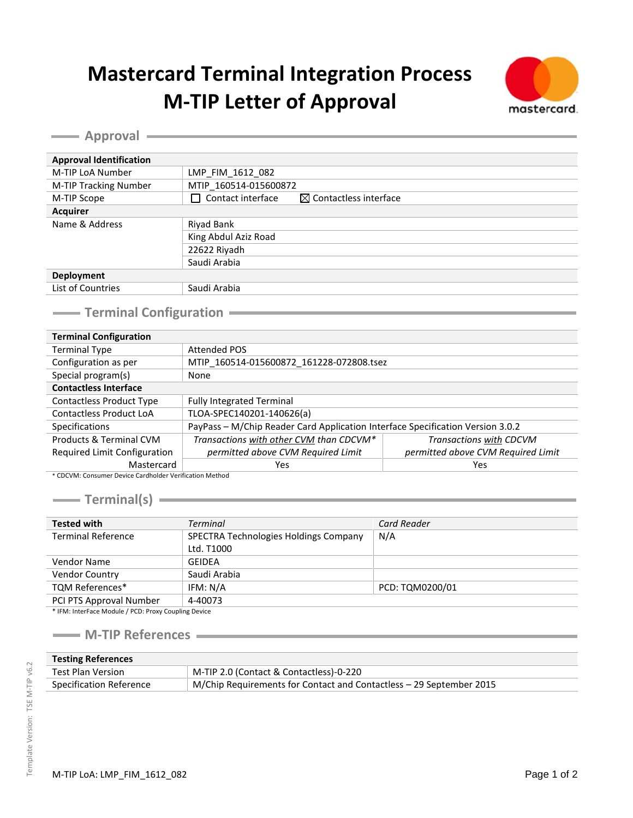## **Mastercard Terminal Integration Process M-TIP Letter of Approval**



**Approval Approval** 

| <b>Approval Identification</b> |                                                             |  |
|--------------------------------|-------------------------------------------------------------|--|
|                                |                                                             |  |
| M-TIP LoA Number               | LMP FIM 1612 082                                            |  |
| M-TIP Tracking Number          | MTIP 160514-015600872                                       |  |
| M-TIP Scope                    | Contact interface<br>$\boxtimes$ Contactless interface<br>⊣ |  |
| <b>Acquirer</b>                |                                                             |  |
| Name & Address                 | Riyad Bank                                                  |  |
|                                | King Abdul Aziz Road                                        |  |
|                                | 22622 Riyadh                                                |  |
|                                | Saudi Arabia                                                |  |
| <b>Deployment</b>              |                                                             |  |
| List of Countries              | Saudi Arabia                                                |  |
|                                |                                                             |  |

## **Terminal Configuration**<br>
Terminal Configuration<br>
Terminal Configuration<br>
Terminal Configuration<br>
Terminal Configuration<br>
Terminal Configuration<br>
Terminal Configuration<br>
Terminal Configuration<br>
Terminal Configuration<br>
Term

| <b>Terminal Configuration</b>                           |                                                                                |                                    |  |
|---------------------------------------------------------|--------------------------------------------------------------------------------|------------------------------------|--|
| <b>Terminal Type</b>                                    | <b>Attended POS</b>                                                            |                                    |  |
| Configuration as per                                    | MTIP 160514-015600872 161228-072808.tsez                                       |                                    |  |
| Special program(s)                                      | None                                                                           |                                    |  |
| <b>Contactless Interface</b>                            |                                                                                |                                    |  |
| <b>Contactless Product Type</b>                         | <b>Fully Integrated Terminal</b>                                               |                                    |  |
| <b>Contactless Product LoA</b>                          | TLOA-SPEC140201-140626(a)                                                      |                                    |  |
| <b>Specifications</b>                                   | PayPass - M/Chip Reader Card Application Interface Specification Version 3.0.2 |                                    |  |
| Products & Terminal CVM                                 | Transactions with other CVM than CDCVM*                                        | Transactions with CDCVM            |  |
| Required Limit Configuration                            | permitted above CVM Required Limit                                             | permitted above CVM Required Limit |  |
| Mastercard                                              | Yes                                                                            | Yes                                |  |
| * CDCVM: Consumer Device Cardbolder Verification Method |                                                                                |                                    |  |

\* CDCVM: Consumer Device Cardholder Verification Method

**Terminal(s)**

| <b>Tested with</b>                                                 | <b>Terminal</b>                                     | <b>Card Reader</b> |
|--------------------------------------------------------------------|-----------------------------------------------------|--------------------|
| <b>Terminal Reference</b>                                          | SPECTRA Technologies Holdings Company<br>Ltd. T1000 | N/A                |
| Vendor Name                                                        | <b>GEIDEA</b>                                       |                    |
| Vendor Country                                                     | Saudi Arabia                                        |                    |
| <b>TQM References*</b>                                             | IFM: N/A                                            | PCD: TQM0200/01    |
| PCI PTS Approval Number                                            | 4-40073                                             |                    |
| $*$ $\cdots$ $\cdots$ $\cdots$ $\cdots$ $\cdots$ $\cdots$ $\cdots$ |                                                     |                    |

\* IFM: InterFace Module / PCD: Proxy Coupling Device

## **M-TIP References**

| <b>Testing References</b> |                                                                     |  |
|---------------------------|---------------------------------------------------------------------|--|
| Test Plan Version         | M-TIP 2.0 (Contact & Contactless)-0-220                             |  |
| Specification Reference   | M/Chip Requirements for Contact and Contactless – 29 September 2015 |  |